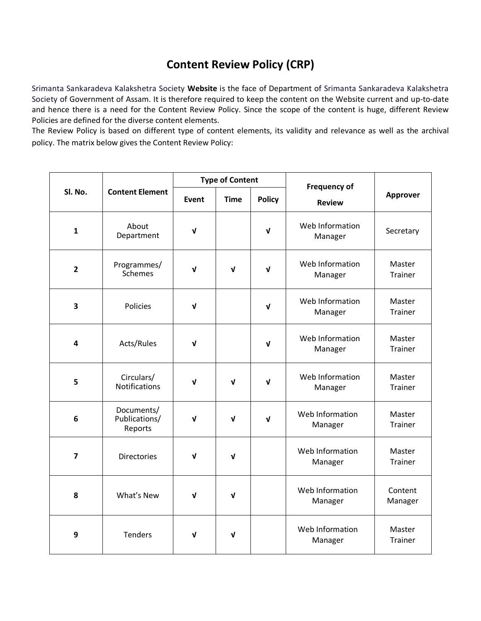## **Content Review Policy (CRP)**

Srimanta Sankaradeva Kalakshetra Society **Website** is the face of Department of Srimanta Sankaradeva Kalakshetra Society of Government of Assam. It is therefore required to keep the content on the Website current and up-to-date and hence there is a need for the Content Review Policy. Since the scope of the content is huge, different Review Policies are defined for the diverse content elements.

The Review Policy is based on different type of content elements, its validity and relevance as well as the archival policy. The matrix below gives the Content Review Policy:

| Sl. No.                 | <b>Content Element</b>                 | <b>Type of Content</b> |             |               | <b>Frequency of</b>        |                          |
|-------------------------|----------------------------------------|------------------------|-------------|---------------|----------------------------|--------------------------|
|                         |                                        | Event                  | <b>Time</b> | <b>Policy</b> | <b>Review</b>              | Approver                 |
| $\mathbf{1}$            | About<br>Department                    | $\sqrt{ }$             |             | $\mathbf v$   | Web Information<br>Manager | Secretary                |
| $\overline{2}$          | Programmes/<br><b>Schemes</b>          | $\mathbf{V}$           | $\mathbf v$ | $\mathbf{v}$  | Web Information<br>Manager | Master<br><b>Trainer</b> |
| 3                       | <b>Policies</b>                        | $\sqrt{ }$             |             | $\mathbf v$   | Web Information<br>Manager | Master<br><b>Trainer</b> |
| $\overline{\mathbf{4}}$ | Acts/Rules                             | $\sqrt{ }$             |             | $\mathbf v$   | Web Information<br>Manager | Master<br>Trainer        |
| 5                       | Circulars/<br><b>Notifications</b>     | V                      | $\mathbf v$ | $\mathbf{v}$  | Web Information<br>Manager | Master<br><b>Trainer</b> |
| 6                       | Documents/<br>Publications/<br>Reports | $\mathbf v$            | V           | $\mathbf v$   | Web Information<br>Manager | Master<br><b>Trainer</b> |
| $\overline{7}$          | <b>Directories</b>                     | $\mathbf v$            | V           |               | Web Information<br>Manager | Master<br>Trainer        |
| 8                       | What's New                             | $\sqrt{ }$             | $\mathbf v$ |               | Web Information<br>Manager | Content<br>Manager       |
| 9                       | <b>Tenders</b>                         | $\mathbf v$            | V           |               | Web Information<br>Manager | Master<br><b>Trainer</b> |